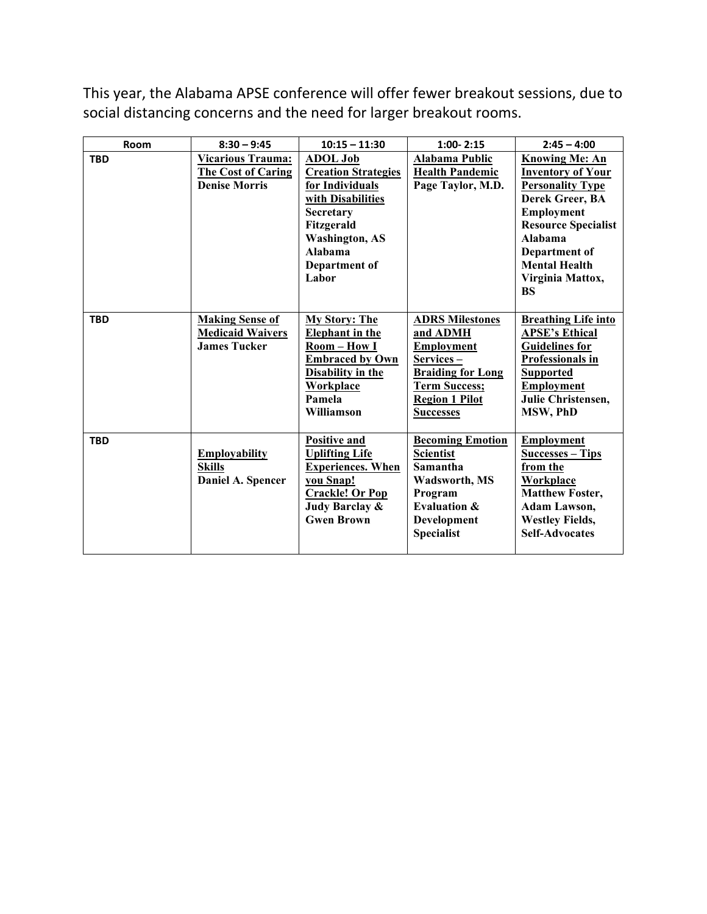This year, the Alabama APSE conference will offer fewer breakout sessions, due to social distancing concerns and the need for larger breakout rooms.

| Room       | $8:30 - 9:45$                                                            | $10:15 - 11:30$                                                                                                                                                                       | $1:00 - 2:15$                                                                                                                                                          | $2:45 - 4:00$                                                                                                                                                                                                                    |
|------------|--------------------------------------------------------------------------|---------------------------------------------------------------------------------------------------------------------------------------------------------------------------------------|------------------------------------------------------------------------------------------------------------------------------------------------------------------------|----------------------------------------------------------------------------------------------------------------------------------------------------------------------------------------------------------------------------------|
| <b>TBD</b> | Vicarious Trauma:<br><b>The Cost of Caring</b><br><b>Denise Morris</b>   | <b>ADOL Job</b><br><b>Creation Strategies</b><br>for Individuals<br>with Disabilities<br><b>Secretary</b><br>Fitzgerald<br><b>Washington, AS</b><br>Alabama<br>Department of<br>Labor | <b>Alabama Public</b><br><b>Health Pandemic</b><br>Page Taylor, M.D.                                                                                                   | <b>Knowing Me: An</b><br><b>Inventory of Your</b><br><b>Personality Type</b><br>Derek Greer, BA<br>Employment<br><b>Resource Specialist</b><br>Alahama<br>Department of<br><b>Mental Health</b><br>Virginia Mattox,<br><b>BS</b> |
| <b>TBD</b> | <b>Making Sense of</b><br><b>Medicaid Waivers</b><br><b>James Tucker</b> | <b>My Story: The</b><br><b>Elephant</b> in the<br>Room-How I<br><b>Embraced by Own</b><br><b>Disability in the</b><br><b>Workplace</b><br>Pamela<br>Williamson                        | <b>ADRS Milestones</b><br>and ADMH<br><b>Employment</b><br>Services –<br><b>Braiding for Long</b><br><b>Term Success;</b><br><b>Region 1 Pilot</b><br><b>Successes</b> | <b>Breathing Life into</b><br><b>APSE's Ethical</b><br><b>Guidelines for</b><br>Professionals in<br><b>Supported</b><br><b>Employment</b><br>Julie Christensen,<br>MSW, PhD                                                      |
| <b>TBD</b> | <b>Employability</b><br><b>Skills</b><br>Daniel A. Spencer               | <b>Positive and</b><br><b>Uplifting Life</b><br><b>Experiences. When</b><br>you Snap!<br><b>Crackle! Or Pop</b><br>Judy Barclay &<br><b>Gwen Brown</b>                                | <b>Becoming Emotion</b><br>Scientist<br>Samantha<br><b>Wadsworth, MS</b><br>Program<br><b>Evaluation &amp;</b><br>Development<br><b>Specialist</b>                     | <b>Employment</b><br>Successes – Tips<br>from the<br><b>Workplace</b><br><b>Matthew Foster,</b><br>Adam Lawson,<br><b>Westley Fields,</b><br><b>Self-Advocates</b>                                                               |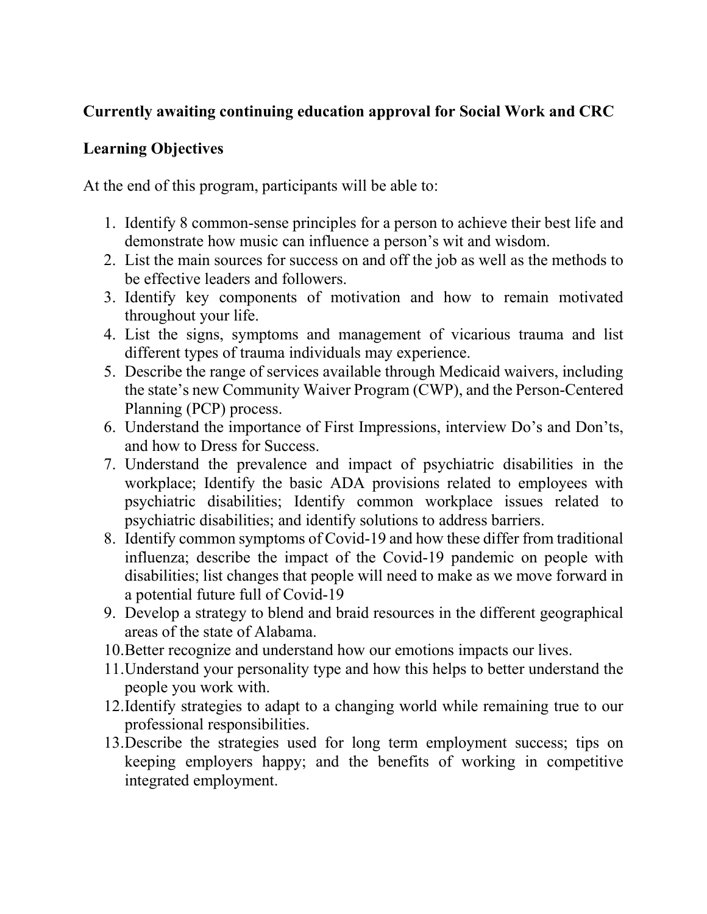# **Currently awaiting continuing education approval for Social Work and CRC**

### **Learning Objectives**

At the end of this program, participants will be able to:

- 1. Identify 8 common-sense principles for a person to achieve their best life and demonstrate how music can influence a person's wit and wisdom.
- 2. List the main sources for success on and off the job as well as the methods to be effective leaders and followers.
- 3. Identify key components of motivation and how to remain motivated throughout your life.
- 4. List the signs, symptoms and management of vicarious trauma and list different types of trauma individuals may experience.
- 5. Describe the range of services available through Medicaid waivers, including the state's new Community Waiver Program (CWP), and the Person-Centered Planning (PCP) process.
- 6. Understand the importance of First Impressions, interview Do's and Don'ts, and how to Dress for Success.
- 7. Understand the prevalence and impact of psychiatric disabilities in the workplace; Identify the basic ADA provisions related to employees with psychiatric disabilities; Identify common workplace issues related to psychiatric disabilities; and identify solutions to address barriers.
- 8. Identify common symptoms of Covid-19 and how these differ from traditional influenza; describe the impact of the Covid-19 pandemic on people with disabilities; list changes that people will need to make as we move forward in a potential future full of Covid-19
- 9. Develop a strategy to blend and braid resources in the different geographical areas of the state of Alabama.
- 10.Better recognize and understand how our emotions impacts our lives.
- 11.Understand your personality type and how this helps to better understand the people you work with.
- 12.Identify strategies to adapt to a changing world while remaining true to our professional responsibilities.
- 13.Describe the strategies used for long term employment success; tips on keeping employers happy; and the benefits of working in competitive integrated employment.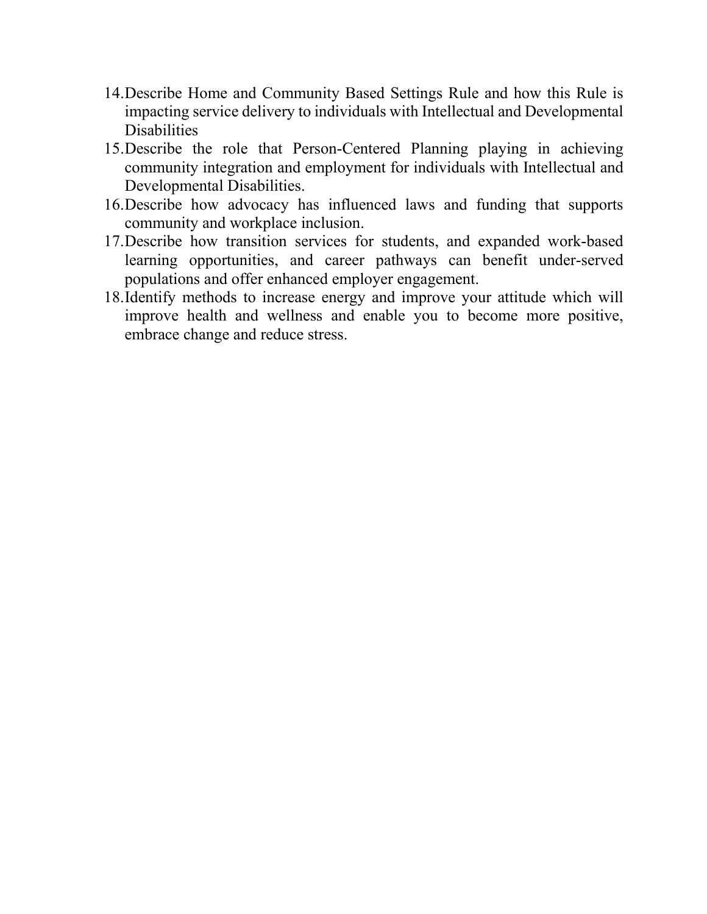- 14.Describe Home and Community Based Settings Rule and how this Rule is impacting service delivery to individuals with Intellectual and Developmental **Disabilities**
- 15.Describe the role that Person-Centered Planning playing in achieving community integration and employment for individuals with Intellectual and Developmental Disabilities.
- 16.Describe how advocacy has influenced laws and funding that supports community and workplace inclusion.
- 17.Describe how transition services for students, and expanded work-based learning opportunities, and career pathways can benefit under-served populations and offer enhanced employer engagement.
- 18.Identify methods to increase energy and improve your attitude which will improve health and wellness and enable you to become more positive, embrace change and reduce stress.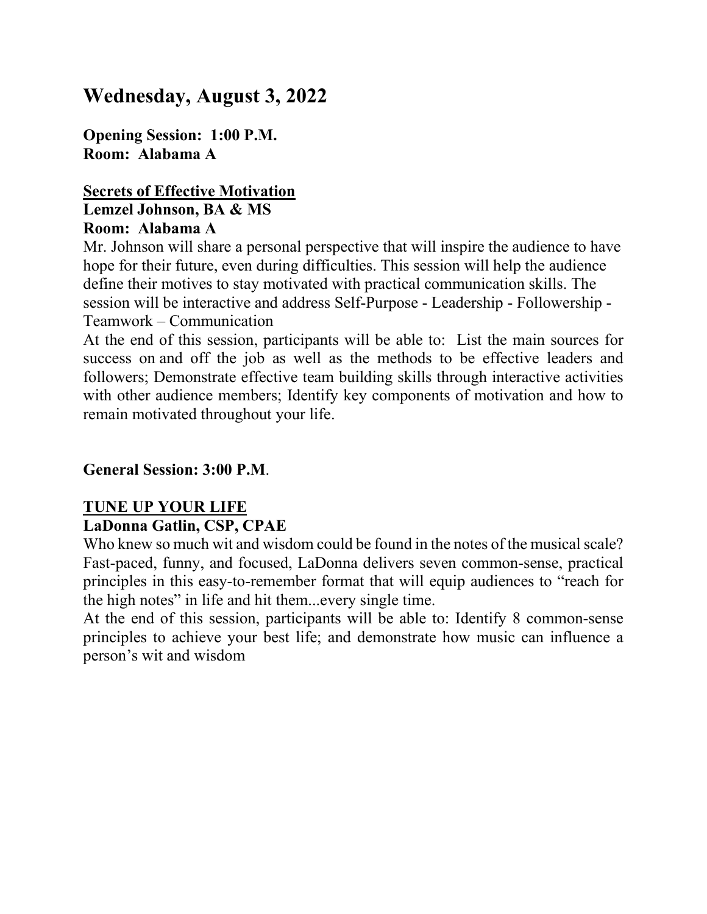# **Wednesday, August 3, 2022**

**Opening Session: 1:00 P.M. Room: Alabama A**

#### **Secrets of Effective Motivation Lemzel Johnson, BA & MS Room: Alabama A**

Mr. Johnson will share a personal perspective that will inspire the audience to have hope for their future, even during difficulties. This session will help the audience define their motives to stay motivated with practical communication skills. The session will be interactive and address Self-Purpose - Leadership - Followership - Teamwork – Communication

At the end of this session, participants will be able to: List the main sources for success on and off the job as well as the methods to be effective leaders and followers; Demonstrate effective team building skills through interactive activities with other audience members; Identify key components of motivation and how to remain motivated throughout your life.

### **General Session: 3:00 P.M**.

# **TUNE UP YOUR LIFE**

### **LaDonna Gatlin, CSP, CPAE**

Who knew so much wit and wisdom could be found in the notes of the musical scale? Fast-paced, funny, and focused, LaDonna delivers seven common-sense, practical principles in this easy-to-remember format that will equip audiences to "reach for the high notes" in life and hit them...every single time.

At the end of this session, participants will be able to: Identify 8 common-sense principles to achieve your best life; and demonstrate how music can influence a person's wit and wisdom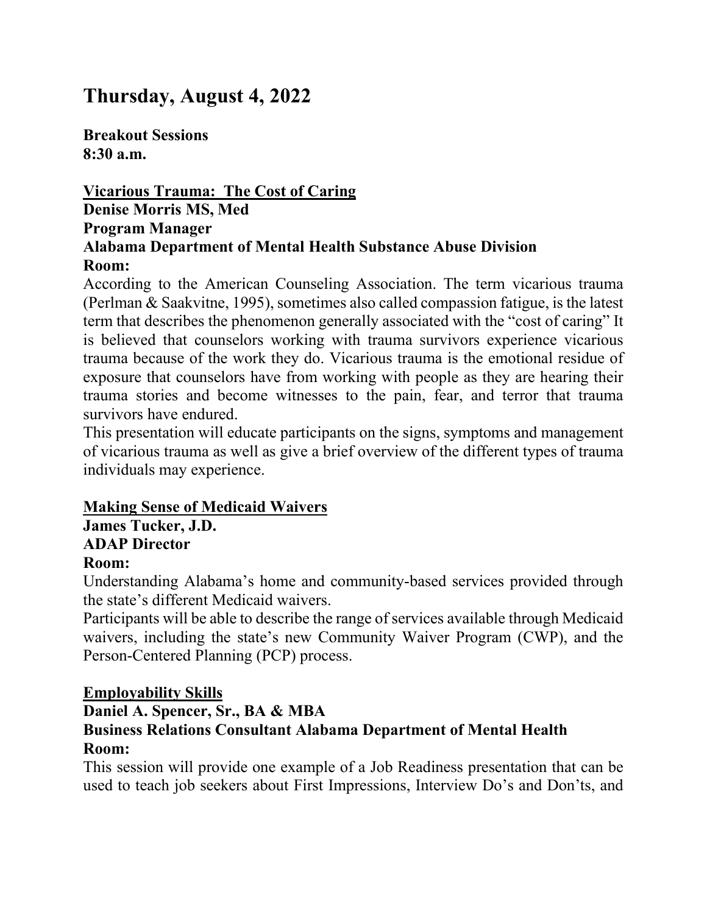# **Thursday, August 4, 2022**

**Breakout Sessions 8:30 a.m.**

### **Vicarious Trauma: The Cost of Caring Denise Morris MS, Med Program Manager Alabama Department of Mental Health Substance Abuse Division Room:**

According to the American Counseling Association. The term vicarious trauma (Perlman & Saakvitne, 1995), sometimes also called compassion fatigue, is the latest term that describes the phenomenon generally associated with the "cost of caring" It is believed that counselors working with trauma survivors experience vicarious trauma because of the work they do. Vicarious trauma is the emotional residue of exposure that counselors have from working with people as they are hearing their trauma stories and become witnesses to the pain, fear, and terror that trauma survivors have endured.

This presentation will educate participants on the signs, symptoms and management of vicarious trauma as well as give a brief overview of the different types of trauma individuals may experience.

### **Making Sense of Medicaid Waivers**

**James Tucker, J.D. ADAP Director Room:**

Understanding Alabama's home and community-based services provided through the state's different Medicaid waivers.

Participants will be able to describe the range of services available through Medicaid waivers, including the state's new Community Waiver Program (CWP), and the Person-Centered Planning (PCP) process.

### **Employability Skills**

### **Daniel A. Spencer, Sr., BA & MBA Business Relations Consultant Alabama Department of Mental Health Room:**

This session will provide one example of a Job Readiness presentation that can be used to teach job seekers about First Impressions, Interview Do's and Don'ts, and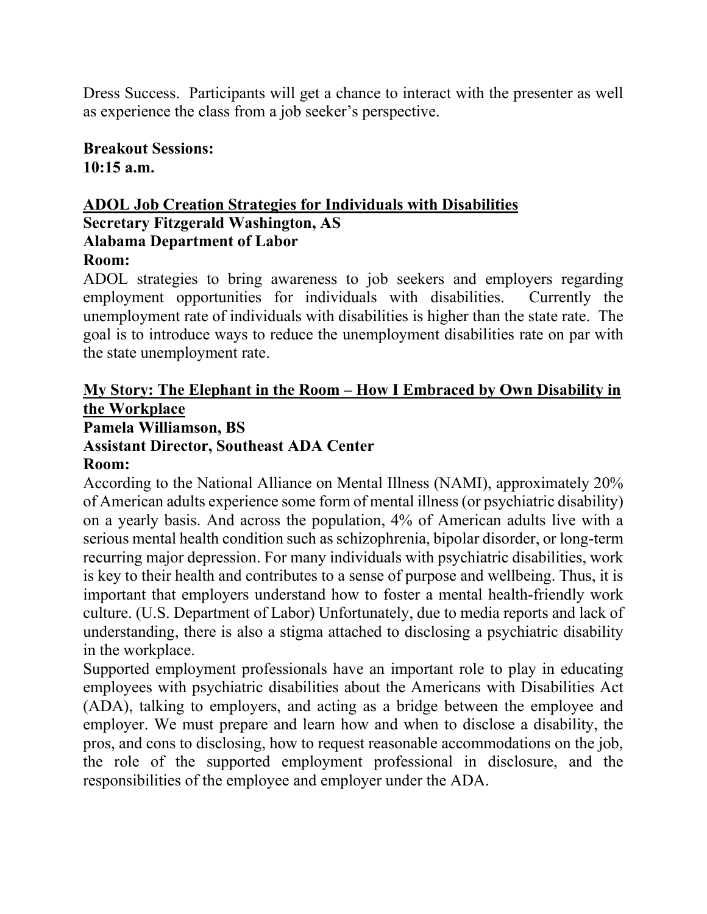Dress Success. Participants will get a chance to interact with the presenter as well as experience the class from a job seeker's perspective.

**Breakout Sessions: 10:15 a.m.**

### **ADOL Job Creation Strategies for Individuals with Disabilities Secretary Fitzgerald Washington, AS Alabama Department of Labor**

# **Room:**

ADOL strategies to bring awareness to job seekers and employers regarding employment opportunities for individuals with disabilities. Currently the unemployment rate of individuals with disabilities is higher than the state rate. The goal is to introduce ways to reduce the unemployment disabilities rate on par with the state unemployment rate.

# **My Story: The Elephant in the Room – How I Embraced by Own Disability in the Workplace**

# **Pamela Williamson, BS**

### **Assistant Director, Southeast ADA Center**

### **Room:**

According to the National Alliance on Mental Illness (NAMI), approximately 20% of American adults experience some form of mental illness (or psychiatric disability) on a yearly basis. And across the population, 4% of American adults live with a serious mental health condition such as schizophrenia, bipolar disorder, or long-term recurring major depression. For many individuals with psychiatric disabilities, work is key to their health and contributes to a sense of purpose and wellbeing. Thus, it is important that employers understand how to foster a mental health-friendly work culture. (U.S. Department of Labor) Unfortunately, due to media reports and lack of understanding, there is also a stigma attached to disclosing a psychiatric disability in the workplace.

Supported employment professionals have an important role to play in educating employees with psychiatric disabilities about the Americans with Disabilities Act (ADA), talking to employers, and acting as a bridge between the employee and employer. We must prepare and learn how and when to disclose a disability, the pros, and cons to disclosing, how to request reasonable accommodations on the job, the role of the supported employment professional in disclosure, and the responsibilities of the employee and employer under the ADA.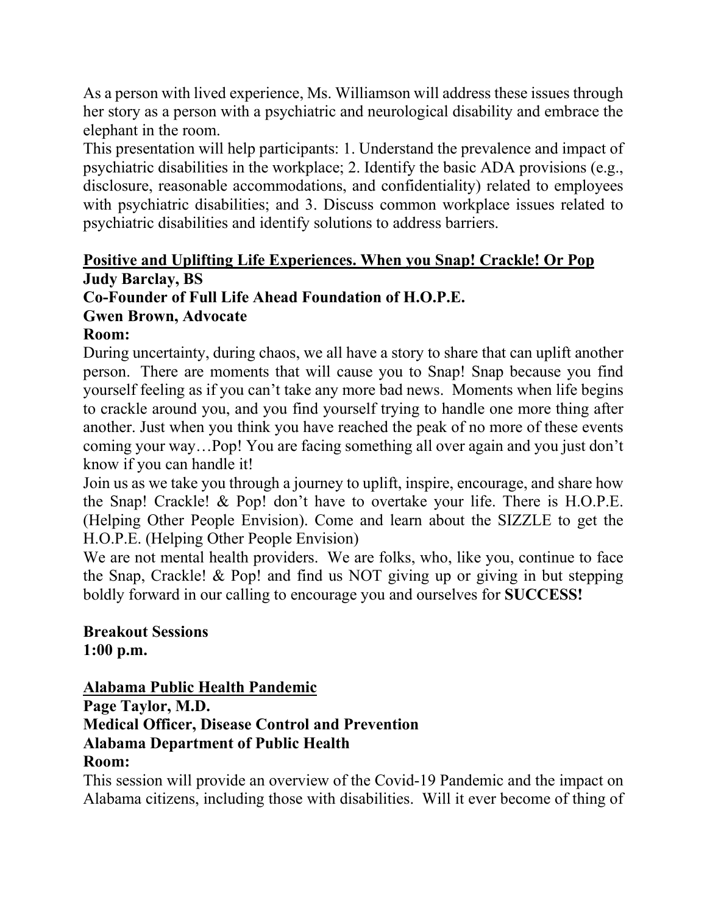As a person with lived experience, Ms. Williamson will address these issues through her story as a person with a psychiatric and neurological disability and embrace the elephant in the room.

This presentation will help participants: 1. Understand the prevalence and impact of psychiatric disabilities in the workplace; 2. Identify the basic ADA provisions (e.g., disclosure, reasonable accommodations, and confidentiality) related to employees with psychiatric disabilities; and 3. Discuss common workplace issues related to psychiatric disabilities and identify solutions to address barriers.

# **Positive and Uplifting Life Experiences. When you Snap! Crackle! Or Pop Judy Barclay, BS**

# **Co-Founder of Full Life Ahead Foundation of H.O.P.E.**

**Gwen Brown, Advocate**

### **Room:**

During uncertainty, during chaos, we all have a story to share that can uplift another person. There are moments that will cause you to Snap! Snap because you find yourself feeling as if you can't take any more bad news. Moments when life begins to crackle around you, and you find yourself trying to handle one more thing after another. Just when you think you have reached the peak of no more of these events coming your way…Pop! You are facing something all over again and you just don't know if you can handle it!

Join us as we take you through a journey to uplift, inspire, encourage, and share how the Snap! Crackle! & Pop! don't have to overtake your life. There is H.O.P.E. (Helping Other People Envision). Come and learn about the SIZZLE to get the H.O.P.E. (Helping Other People Envision)

We are not mental health providers. We are folks, who, like you, continue to face the Snap, Crackle! & Pop! and find us NOT giving up or giving in but stepping boldly forward in our calling to encourage you and ourselves for **SUCCESS!**

**Breakout Sessions 1:00 p.m.**

# **Alabama Public Health Pandemic**

**Page Taylor, M.D.**

### **Medical Officer, Disease Control and Prevention Alabama Department of Public Health**

# **Room:**

This session will provide an overview of the Covid-19 Pandemic and the impact on Alabama citizens, including those with disabilities. Will it ever become of thing of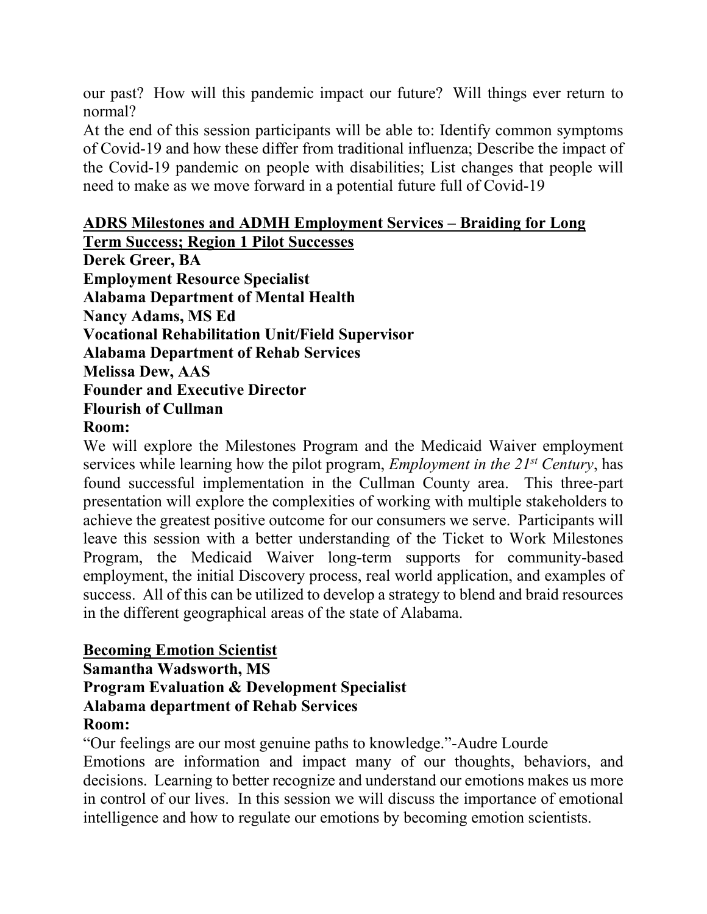our past? How will this pandemic impact our future? Will things ever return to normal?

At the end of this session participants will be able to: Identify common symptoms of Covid-19 and how these differ from traditional influenza; Describe the impact of the Covid-19 pandemic on people with disabilities; List changes that people will need to make as we move forward in a potential future full of Covid-19

# **ADRS Milestones and ADMH Employment Services – Braiding for Long**

**Term Success; Region 1 Pilot Successes Derek Greer, BA Employment Resource Specialist Alabama Department of Mental Health Nancy Adams, MS Ed Vocational Rehabilitation Unit/Field Supervisor Alabama Department of Rehab Services Melissa Dew, AAS Founder and Executive Director Flourish of Cullman Room:** 

We will explore the Milestones Program and the Medicaid Waiver employment services while learning how the pilot program, *Employment in the 21st Century*, has found successful implementation in the Cullman County area. This three-part presentation will explore the complexities of working with multiple stakeholders to achieve the greatest positive outcome for our consumers we serve. Participants will leave this session with a better understanding of the Ticket to Work Milestones Program, the Medicaid Waiver long-term supports for community-based employment, the initial Discovery process, real world application, and examples of success. All of this can be utilized to develop a strategy to blend and braid resources in the different geographical areas of the state of Alabama.

### **Becoming Emotion Scientist**

**Samantha Wadsworth, MS Program Evaluation & Development Specialist Alabama department of Rehab Services Room:** 

"Our feelings are our most genuine paths to knowledge."-Audre Lourde Emotions are information and impact many of our thoughts, behaviors, and decisions. Learning to better recognize and understand our emotions makes us more in control of our lives. In this session we will discuss the importance of emotional intelligence and how to regulate our emotions by becoming emotion scientists.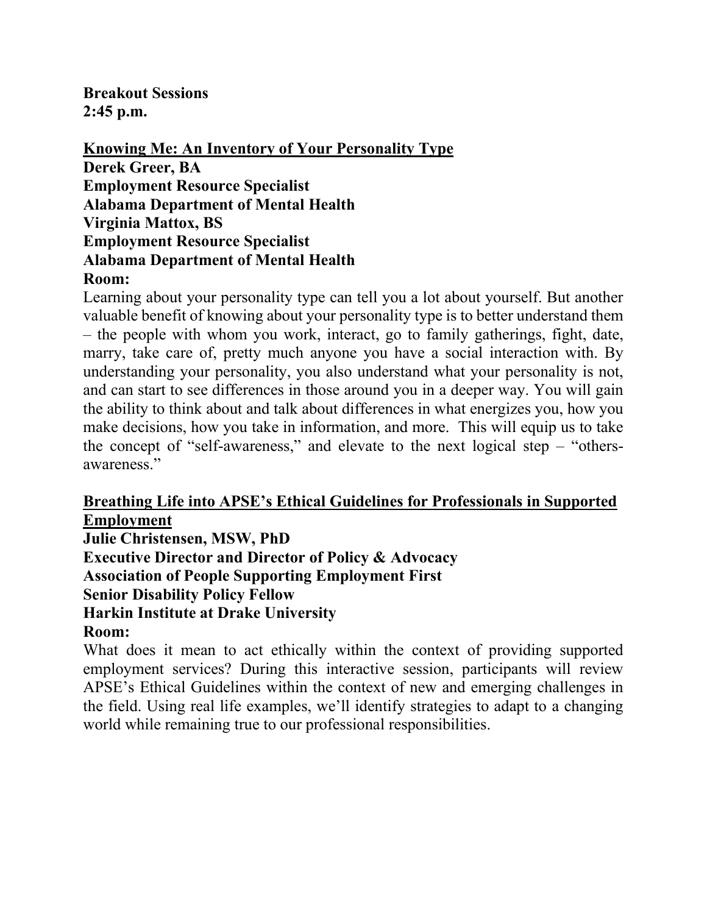**Breakout Sessions 2:45 p.m.**

**Knowing Me: An Inventory of Your Personality Type Derek Greer, BA Employment Resource Specialist Alabama Department of Mental Health Virginia Mattox, BS Employment Resource Specialist Alabama Department of Mental Health Room:**

Learning about your personality type can tell you a lot about yourself. But another valuable benefit of knowing about your personality type is to better understand them – the people with whom you work, interact, go to family gatherings, fight, date, marry, take care of, pretty much anyone you have a social interaction with. By understanding your personality, you also understand what your personality is not, and can start to see differences in those around you in a deeper way. You will gain the ability to think about and talk about differences in what energizes you, how you make decisions, how you take in information, and more. This will equip us to take the concept of "self-awareness," and elevate to the next logical step  $-$  "othersawareness."

#### **Breathing Life into APSE's Ethical Guidelines for Professionals in Supported Employment**

**Julie Christensen, MSW, PhD Executive Director and Director of Policy & Advocacy Association of People Supporting Employment First Senior Disability Policy Fellow Harkin Institute at Drake University Room:**

What does it mean to act ethically within the context of providing supported employment services? During this interactive session, participants will review APSE's Ethical Guidelines within the context of new and emerging challenges in the field. Using real life examples, we'll identify strategies to adapt to a changing world while remaining true to our professional responsibilities.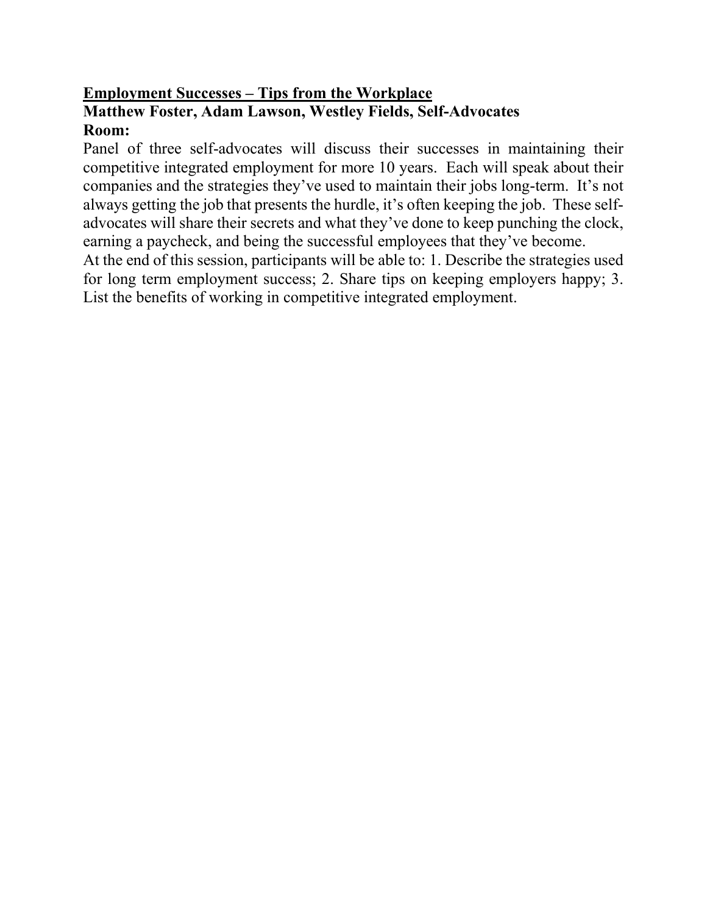# **Employment Successes – Tips from the Workplace Matthew Foster, Adam Lawson, Westley Fields, Self-Advocates Room:**

Panel of three self-advocates will discuss their successes in maintaining their competitive integrated employment for more 10 years. Each will speak about their companies and the strategies they've used to maintain their jobs long-term. It's not always getting the job that presents the hurdle, it's often keeping the job. These selfadvocates will share their secrets and what they've done to keep punching the clock, earning a paycheck, and being the successful employees that they've become.

At the end of this session, participants will be able to: 1. Describe the strategies used for long term employment success; 2. Share tips on keeping employers happy; 3. List the benefits of working in competitive integrated employment.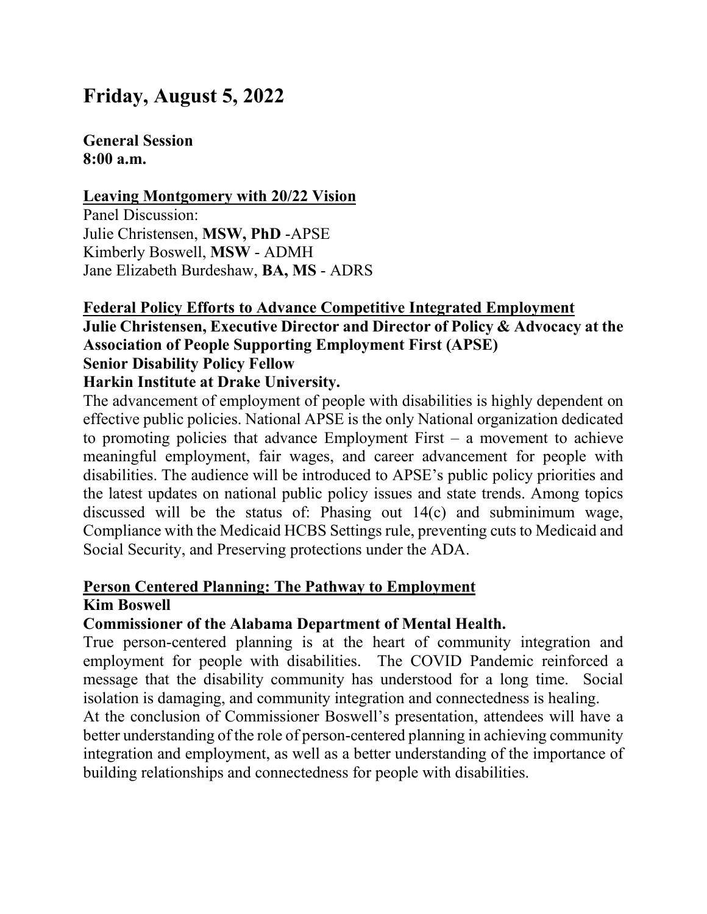# **Friday, August 5, 2022**

### **General Session 8:00 a.m.**

#### **Leaving Montgomery with 20/22 Vision**

Panel Discussion: Julie Christensen, **MSW, PhD** -APSE Kimberly Boswell, **MSW** - ADMH Jane Elizabeth Burdeshaw, **BA, MS** - ADRS

#### **Federal Policy Efforts to Advance Competitive Integrated Employment Julie Christensen, Executive Director and Director of Policy & Advocacy at the Association of People Supporting Employment First (APSE) Senior Disability Policy Fellow**

### **Harkin Institute at Drake University.**

The advancement of employment of people with disabilities is highly dependent on effective public policies. National APSE is the only National organization dedicated to promoting policies that advance Employment First – a movement to achieve meaningful employment, fair wages, and career advancement for people with disabilities. The audience will be introduced to APSE's public policy priorities and the latest updates on national public policy issues and state trends. Among topics discussed will be the status of: Phasing out 14(c) and subminimum wage, Compliance with the Medicaid HCBS Settings rule, preventing cuts to Medicaid and Social Security, and Preserving protections under the ADA.

#### **Person Centered Planning: The Pathway to Employment Kim Boswell**

#### **Commissioner of the Alabama Department of Mental Health.**

True person-centered planning is at the heart of community integration and employment for people with disabilities. The COVID Pandemic reinforced a message that the disability community has understood for a long time. Social isolation is damaging, and community integration and connectedness is healing.

At the conclusion of Commissioner Boswell's presentation, attendees will have a better understanding of the role of person-centered planning in achieving community integration and employment, as well as a better understanding of the importance of building relationships and connectedness for people with disabilities.